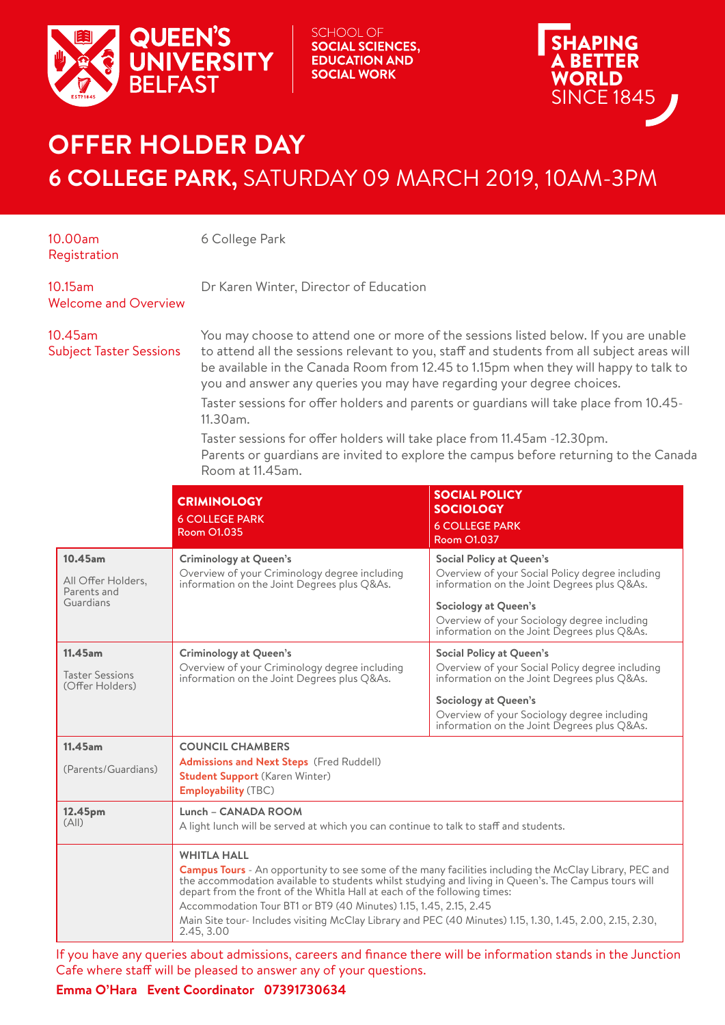

SCHOOL OF **SOCIAL SCIENCES, EDUCATION AND SOCIAL WORK** 

**PING** 

A BETTER WORLD **SINCE 1845** 

## **OFFER HOLDER DAY 6 COLLEGE PARK,** SATURDAY 09 MARCH 2019, 10AM-3PM

| 10.00am<br>Registration                                   | 6 College Park                                                                                                                                                                                                                                                                                                                                                                                                                                                                                                                                                                                                                                      |                                                                                                                                                                                                                                                         |
|-----------------------------------------------------------|-----------------------------------------------------------------------------------------------------------------------------------------------------------------------------------------------------------------------------------------------------------------------------------------------------------------------------------------------------------------------------------------------------------------------------------------------------------------------------------------------------------------------------------------------------------------------------------------------------------------------------------------------------|---------------------------------------------------------------------------------------------------------------------------------------------------------------------------------------------------------------------------------------------------------|
| 10.15am<br><b>Welcome and Overview</b>                    | Dr Karen Winter, Director of Education                                                                                                                                                                                                                                                                                                                                                                                                                                                                                                                                                                                                              |                                                                                                                                                                                                                                                         |
| 10.45am<br><b>Subject Taster Sessions</b>                 | You may choose to attend one or more of the sessions listed below. If you are unable<br>to attend all the sessions relevant to you, staff and students from all subject areas will<br>be available in the Canada Room from 12.45 to 1.15pm when they will happy to talk to<br>you and answer any queries you may have regarding your degree choices.<br>Taster sessions for offer holders and parents or guardians will take place from 10.45-<br>11.30am.<br>Taster sessions for offer holders will take place from 11.45am -12.30pm.<br>Parents or guardians are invited to explore the campus before returning to the Canada<br>Room at 11.45am. |                                                                                                                                                                                                                                                         |
|                                                           | <b>CRIMINOLOGY</b><br><b>6 COLLEGE PARK</b><br><b>Room O1.035</b>                                                                                                                                                                                                                                                                                                                                                                                                                                                                                                                                                                                   | <b>SOCIAL POLICY</b><br><b>SOCIOLOGY</b><br><b>6 COLLEGE PARK</b><br><b>Room O1.037</b>                                                                                                                                                                 |
| 10.45am<br>All Offer Holders,<br>Parents and<br>Guardians | <b>Criminology at Queen's</b><br>Overview of your Criminology degree including<br>information on the Joint Degrees plus Q&As.                                                                                                                                                                                                                                                                                                                                                                                                                                                                                                                       | <b>Social Policy at Queen's</b><br>Overview of your Social Policy degree including<br>information on the Joint Degrees plus Q&As.<br>Sociology at Queen's<br>Overview of your Sociology degree including<br>information on the Joint Degrees plus Q&As. |
| 11.45am<br><b>Taster Sessions</b><br>(Offer Holders)      | <b>Criminology at Queen's</b><br>Overview of your Criminology degree including<br>information on the Joint Degrees plus Q&As.                                                                                                                                                                                                                                                                                                                                                                                                                                                                                                                       | <b>Social Policy at Queen's</b><br>Overview of your Social Policy degree including<br>information on the Joint Degrees plus Q&As.<br>Sociology at Queen's<br>Overview of your Sociology degree including<br>information on the Joint Degrees plus Q&As. |
| 11.45am<br>(Parents/Guardians)                            | <b>COUNCIL CHAMBERS</b><br><b>Admissions and Next Steps</b> (Fred Ruddell)<br><b>Student Support (Karen Winter)</b><br><b>Employability</b> (TBC)                                                                                                                                                                                                                                                                                                                                                                                                                                                                                                   |                                                                                                                                                                                                                                                         |
| 12.45pm<br>(A  )                                          | Lunch - CANADA ROOM<br>A light lunch will be served at which you can continue to talk to staff and students.<br><b>WHITLA HALL</b><br><b>Campus Tours</b> - An opportunity to see some of the many facilities including the McClay Library, PEC and<br>the accommodation available to students whilst studying and living in Queen's. The Campus tours will<br>depart from the front of the Whitla Hall at each of the following times:<br>Accommodation Tour BT1 or BT9 (40 Minutes) 1.15, 1.45, 2.15, 2.45<br>Main Site tour- Includes visiting McClay Library and PEC (40 Minutes) 1.15, 1.30, 1.45, 2.00, 2.15, 2.30,<br>2.45, 3.00             |                                                                                                                                                                                                                                                         |

If you have any queries about admissions, careers and finance there will be information stands in the Junction Cafe where staff will be pleased to answer any of your questions.